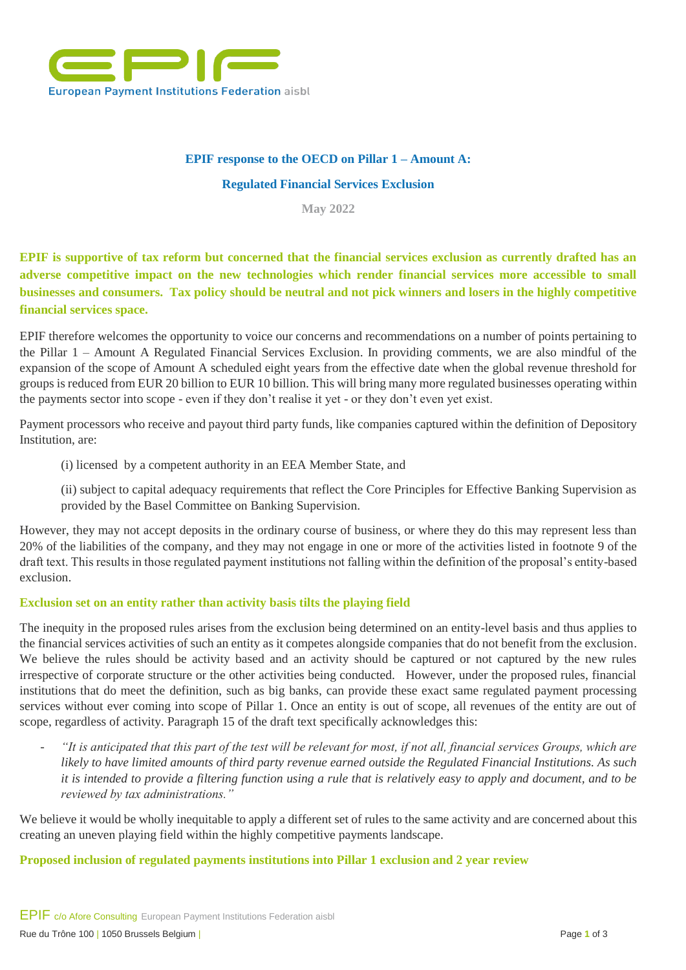

# **EPIF response to the OECD on Pillar 1 – Amount A:**

### **Regulated Financial Services Exclusion**

**May 2022**

**EPIF is supportive of tax reform but concerned that the financial services exclusion as currently drafted has an adverse competitive impact on the new technologies which render financial services more accessible to small businesses and consumers. Tax policy should be neutral and not pick winners and losers in the highly competitive financial services space.** 

EPIF therefore welcomes the opportunity to voice our concerns and recommendations on a number of points pertaining to the Pillar 1 – Amount A Regulated Financial Services Exclusion. In providing comments, we are also mindful of the expansion of the scope of Amount A scheduled eight years from the effective date when the global revenue threshold for groups is reduced from EUR 20 billion to EUR 10 billion. This will bring many more regulated businesses operating within the payments sector into scope - even if they don't realise it yet - or they don't even yet exist.

Payment processors who receive and payout third party funds, like companies captured within the definition of Depository Institution, are:

(i) licensed by a competent authority in an EEA Member State, and

(ii) subject to capital adequacy requirements that reflect the Core Principles for Effective Banking Supervision as provided by the Basel Committee on Banking Supervision.

However, they may not accept deposits in the ordinary course of business, or where they do this may represent less than 20% of the liabilities of the company, and they may not engage in one or more of the activities listed in footnote 9 of the draft text. This results in those regulated payment institutions not falling within the definition of the proposal's entity-based exclusion.

## **Exclusion set on an entity rather than activity basis tilts the playing field**

The inequity in the proposed rules arises from the exclusion being determined on an entity-level basis and thus applies to the financial services activities of such an entity as it competes alongside companies that do not benefit from the exclusion. We believe the rules should be activity based and an activity should be captured or not captured by the new rules irrespective of corporate structure or the other activities being conducted. However, under the proposed rules, financial institutions that do meet the definition, such as big banks, can provide these exact same regulated payment processing services without ever coming into scope of Pillar 1. Once an entity is out of scope, all revenues of the entity are out of scope, regardless of activity. Paragraph 15 of the draft text specifically acknowledges this:

- *"It is anticipated that this part of the test will be relevant for most, if not all, financial services Groups, which are likely to have limited amounts of third party revenue earned outside the Regulated Financial Institutions. As such it is intended to provide a filtering function using a rule that is relatively easy to apply and document, and to be reviewed by tax administrations."* 

We believe it would be wholly inequitable to apply a different set of rules to the same activity and are concerned about this creating an uneven playing field within the highly competitive payments landscape.

### **Proposed inclusion of regulated payments institutions into Pillar 1 exclusion and 2 year review**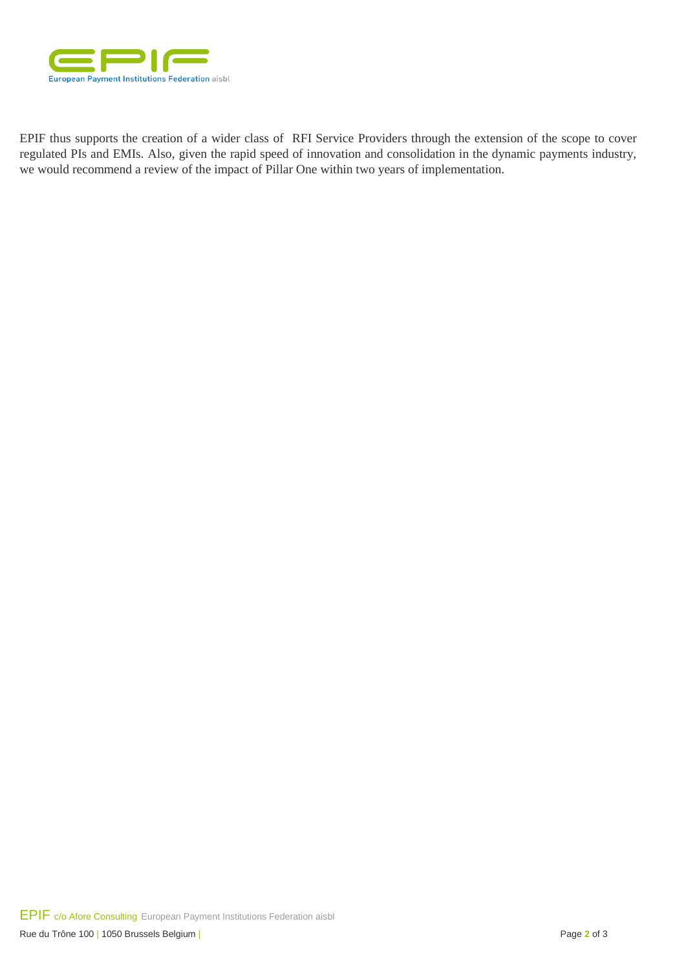

EPIF thus supports the creation of a wider class of RFI Service Providers through the extension of the scope to cover regulated PIs and EMIs. Also, given the rapid speed of innovation and consolidation in the dynamic payments industry, we would recommend a review of the impact of Pillar One within two years of implementation.

EPIF c/o Afore Consulting European Payment Institutions Federation aisbl